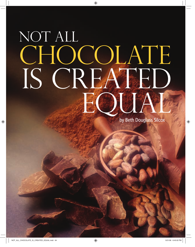# NOT ALL CHOCOLATE IS CREATED EQUAT

64 **SUCCESS FROM HOME** Volume 4 Issue 8

by Beth Douglass Silcox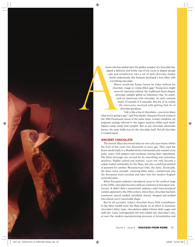nyone who has peeled open the golden wrapper of a chocolate bar, sipped a delicious and frothy cup of hot cocoa or dipped sponge cake and strawberries into a vat of dark-chocolate fondue clearly understands why humans developed a love affair with everything chocolate.

> Where would the Easter bunny be today without his chocolaty visage or crème-filled eggs? Young love might never be expressed without the traditional heart-shaped, chocolate sampler gifted on Valentine's Day. So enamored are Americans with chocolate, we each consume nearly 12 pounds of it annually. But few of us realize the intricacies involved with getting that fix of chocolate goodness.

"Life is like a box of chocolates—you never know what you're going to get," said Tom Hanks' character Forrest Gump in the 1994 Paramount movie of the same name. Gump's simplistic yet poignant analogy referred to the sugary surprise within each handdipped candy inside that sampler. But as any chocolate aficionado knows, the same holds true for the chocolate itself. Not all chocolate is created equal. myone who he<br>sipped a del<br>cake and<br>clearly ure<br>werythi<br>Whe<br>choco<br>never<br>choos<br>never<br>cho or<br>n<br>m<br>m<br>the 1994 Paramo<br>poignant analog

### **ANCIENT CHOCOLATE**

The ancient Maya discovered what we now call cacao beans within the fruit of the cacao tree thousands of years ago. They used the beans medicinally in a blended drink of fermented and roasted cocoa paste, water, chili peppers and cornmeal, among other ingredients. The bitter beverage was revered for its nourishing and restorative qualities. Highly valued and popular, cacao not only became a widely traded commodity for the Maya, but also a preferred method of payment for another Mesoamerican tribe, the Aztec. Eventually, the Aztec word, *xocolatl*—meaning bitter water—transformed into the European word *xocolate* and later into the modern English word *chocolate*.

When European explorers introduced cacao to the world at large in the 1500s, chocolate became a delicacy exclusive to European aristocracy. It didn't find a mainstream audience until mass-produced candies appeared in the 19th century. Since then, chocolate has been sweetened, spiced, melted, sprinkled, shaved, chopped and molded into almost every conceivable shape.

But by all accounts, today's chocolate bears little resemblance to the bitter health tonic the Maya drank. In an effort to minimize chocolate's bitter taste, chocolatiers added refined white sugar and milk fats. Later, hydrogenated oils were folded into chocolate's mix, as were the modern manufacturing processes of fermentation and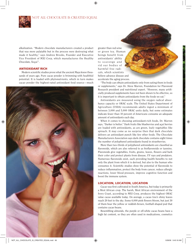

alkalization. "Modern chocolate manufacturers created a product that was more palatable but in the process were destroying what made it healthy," says Andrew Brooks, Founder and Executive Vice President of MXI Corp, which manufactures the Healthy Chocolate, Xoçai™.

#### **ANTIOXIDANT RICH**

Modern scientific studies prove what the ancient Maya knew thousands of years ago. Pure cacao powder is brimming with healthful potential. It is loaded with phytonutrients, which in turn makes cacao powder the highest-rated antioxidant food source—much



greater than red wine or green tea. Human beings benefit from beings benefit fron<br>antioxidants' ability to scavenge and rid our bodies of harmful free radiharmful free radi-<br>cals, which scientists believe advance disease and believe advance disease and<br>accelerate the aging process.

"The body can obtain antioxidants only from eating them in foods an foods or supplements," says Dr. Steve Warren, Foundation for Flavonoid Research president and nutritional expert. "However, many artificially produced supplements have not been shown to be effective, so it is important to obtain antioxidants from the foods we eat."

Antioxidants are measured using the oxygen radical absorbance capacity or ORAC scale. The United States Department of Agriculture (USDA) recommends adults ingest a minimum of between 3,000 and 5,000 ORAC units daily, but some estimates indicate fewer than 10 percent of Americans consume an adequate amount of antioxidants each day.

When it comes to choosing antioxidant-rich foods, Dr. Warren says, "Darker is better." Dark fruits like blueberries and açaí berries are loaded with antioxidants, as are green, leafy vegetables like spinach. It may come as no surprise then that dark chocolate delivers an antioxidant punch like few other foods. The Chocolate Manufacturers Association says dark chocolate contains eight times the number of polyphenol antioxidants found in strawberries.

More than two-thirds of polyphenol antioxidants are classified as flavonoids, which are also referred to as bioflavonoids or tannins. Flavonoids give vegetables, fruits, grains, leaves, flowers and bark their color and protect plants from disease, UV rays and predators. Numerous flavonoids exist, each providing health benefits to not only the plant from which it is derived, but also to the human who consumes it. Scientific studies show the potential of flavonoids to reduce inflammation, protect the body from cancer, reduce allergic reactions, lower blood pressure, improve cognitive function and boost the immune system.

## **LOCATION, LOCATION, LOCATION**

Cacao was first cultivated in South America, but today is primarily a West African crop. The harsh, West African environment of the Ivory Coast, according to MXI Corp, produces the highest ORAC value cacao available today. On average, a cacao tree's shiny leaves reach 20 feet to the sky. Some 6,000 pink flowers bloom, but just 30 of them bear the yellow or reddish-brown, football-shaped pod that contains cacao beans.

Resembling almonds, the purple or off-white cacao beans have a high fat content, so they are often used in medications, cosmetics